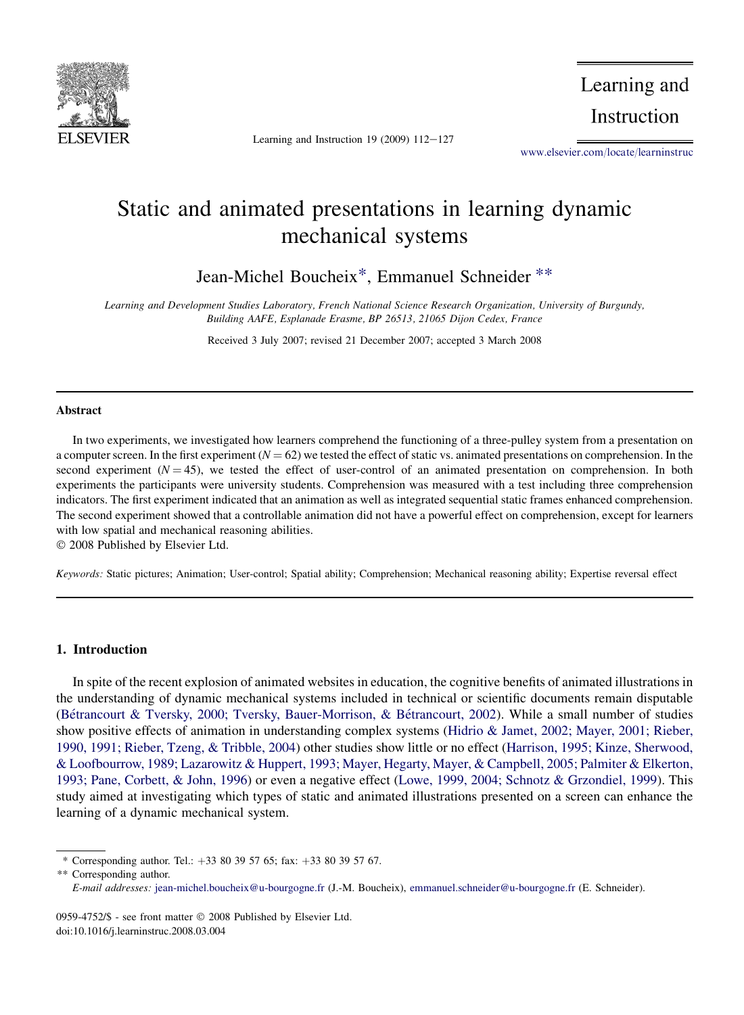

Learning and Instruction 19 (2009)  $112-127$ 

Learning and Instruction

[www.elsevier.com/locate/learninstruc](http://www.elsevier.com/locate/learninstruc)

# Static and animated presentations in learning dynamic mechanical systems

Jean-Michel Boucheix\*, Emmanuel Schneider \*\*

Learning and Development Studies Laboratory, French National Science Research Organization, University of Burgundy, Building AAFE, Esplanade Erasme, BP 26513, 21065 Dijon Cedex, France

Received 3 July 2007; revised 21 December 2007; accepted 3 March 2008

#### Abstract

In two experiments, we investigated how learners comprehend the functioning of a three-pulley system from a presentation on a computer screen. In the first experiment  $(N = 62)$  we tested the effect of static vs. animated presentations on comprehension. In the second experiment  $(N = 45)$ , we tested the effect of user-control of an animated presentation on comprehension. In both experiments the participants were university students. Comprehension was measured with a test including three comprehension indicators. The first experiment indicated that an animation as well as integrated sequential static frames enhanced comprehension. The second experiment showed that a controllable animation did not have a powerful effect on comprehension, except for learners with low spatial and mechanical reasoning abilities.

 $©$  2008 Published by Elsevier Ltd.

Keywords: Static pictures; Animation; User-control; Spatial ability; Comprehension; Mechanical reasoning ability; Expertise reversal effect

## 1. Introduction

In spite of the recent explosion of animated websites in education, the cognitive benefits of animated illustrations in the understanding of dynamic mechanical systems included in technical or scientific documents remain disputable (Bétrancourt & Tversky, 2000; Tversky, Bauer-Morrison, & Bétrancourt, 2002). While a small number of studies show positive effects of animation in understanding complex systems ([Hidrio & Jamet, 2002; Mayer, 2001; Rieber,](#page-14-0) [1990, 1991; Rieber, Tzeng, & Tribble, 2004\)](#page-14-0) other studies show little or no effect ([Harrison, 1995; Kinze, Sherwood,](#page-14-0) [& Loofbourrow, 1989; Lazarowitz & Huppert, 1993; Mayer, Hegarty, Mayer, & Campbell, 2005; Palmiter & Elkerton,](#page-14-0) [1993; Pane, Corbett, & John, 1996](#page-14-0)) or even a negative effect ([Lowe, 1999, 2004; Schnotz & Grzondiel, 1999](#page-15-0)). This study aimed at investigating which types of static and animated illustrations presented on a screen can enhance the learning of a dynamic mechanical system.

\*\* Corresponding author.

<sup>\*</sup> Corresponding author. Tel.:  $+3380395765$ ; fax:  $+3380395767$ .

E-mail addresses: [jean-michel.boucheix@u-bourgogne.fr](mailto:jean-michel.boucheix@u-bourgogne.fr) (J.-M. Boucheix), [emmanuel.schneider@u-bourgogne.fr](mailto:emmanuel.schneider@u-bourgogne) (E. Schneider).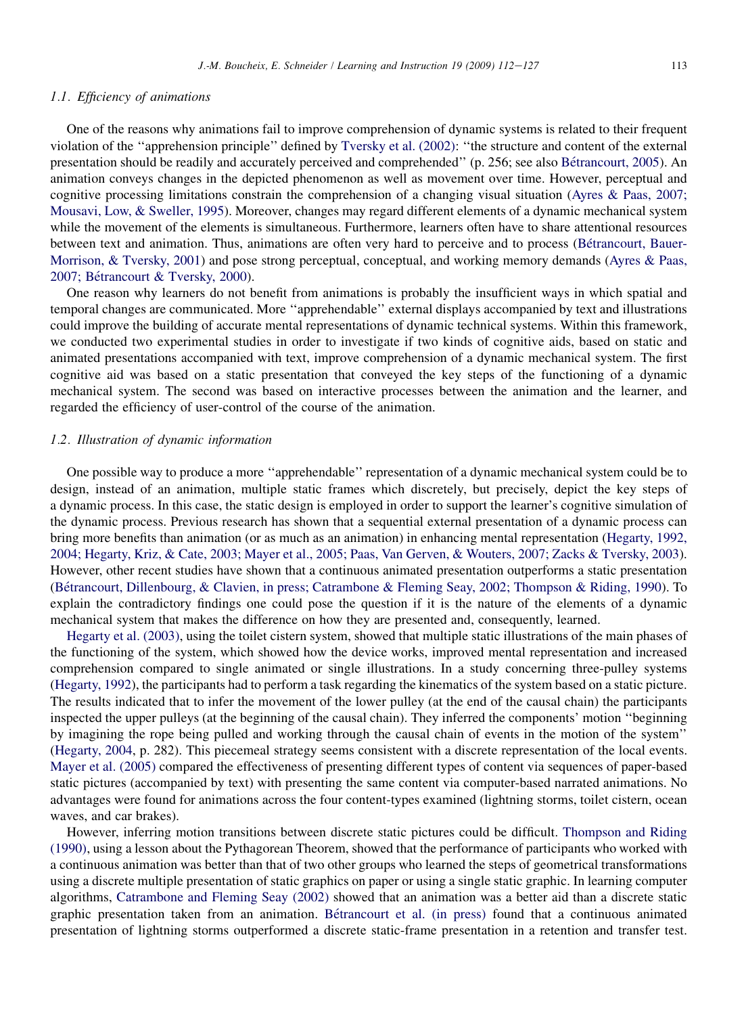#### 1.1. Efficiency of animations

One of the reasons why animations fail to improve comprehension of dynamic systems is related to their frequent violation of the ''apprehension principle'' defined by [Tversky et al. \(2002\)](#page-15-0): ''the structure and content of the external presentation should be readily and accurately perceived and comprehended'' (p. 256; see also Bétrancourt, 2005). An animation conveys changes in the depicted phenomenon as well as movement over time. However, perceptual and cognitive processing limitations constrain the comprehension of a changing visual situation ([Ayres & Paas, 2007;](#page-14-0) [Mousavi, Low, & Sweller, 1995](#page-14-0)). Moreover, changes may regard different elements of a dynamic mechanical system while the movement of the elements is simultaneous. Furthermore, learners often have to share attentional resources between text and animation. Thus, animations are often very hard to perceive and to process (Bétrancourt, Bauer-[Morrison, & Tversky, 2001\)](#page-14-0) and pose strong perceptual, conceptual, and working memory demands [\(Ayres & Paas,](#page-14-0) 2007; Bétrancourt & Tversky, 2000).

One reason why learners do not benefit from animations is probably the insufficient ways in which spatial and temporal changes are communicated. More ''apprehendable'' external displays accompanied by text and illustrations could improve the building of accurate mental representations of dynamic technical systems. Within this framework, we conducted two experimental studies in order to investigate if two kinds of cognitive aids, based on static and animated presentations accompanied with text, improve comprehension of a dynamic mechanical system. The first cognitive aid was based on a static presentation that conveyed the key steps of the functioning of a dynamic mechanical system. The second was based on interactive processes between the animation and the learner, and regarded the efficiency of user-control of the course of the animation.

## 1.2. Illustration of dynamic information

One possible way to produce a more ''apprehendable'' representation of a dynamic mechanical system could be to design, instead of an animation, multiple static frames which discretely, but precisely, depict the key steps of a dynamic process. In this case, the static design is employed in order to support the learner's cognitive simulation of the dynamic process. Previous research has shown that a sequential external presentation of a dynamic process can bring more benefits than animation (or as much as an animation) in enhancing mental representation [\(Hegarty, 1992,](#page-14-0) [2004; Hegarty, Kriz, & Cate, 2003; Mayer et al., 2005; Paas, Van Gerven, & Wouters, 2007; Zacks & Tversky, 2003](#page-14-0)). However, other recent studies have shown that a continuous animated presentation outperforms a static presentation (Bétrancourt, Dillenbourg, & Clavien, in press; Catrambone & Fleming Seay, 2002; Thompson & Riding, 1990). To explain the contradictory findings one could pose the question if it is the nature of the elements of a dynamic mechanical system that makes the difference on how they are presented and, consequently, learned.

[Hegarty et al. \(2003\),](#page-14-0) using the toilet cistern system, showed that multiple static illustrations of the main phases of the functioning of the system, which showed how the device works, improved mental representation and increased comprehension compared to single animated or single illustrations. In a study concerning three-pulley systems [\(Hegarty, 1992](#page-14-0)), the participants had to perform a task regarding the kinematics of the system based on a static picture. The results indicated that to infer the movement of the lower pulley (at the end of the causal chain) the participants inspected the upper pulleys (at the beginning of the causal chain). They inferred the components' motion ''beginning by imagining the rope being pulled and working through the causal chain of events in the motion of the system'' [\(Hegarty, 2004](#page-14-0), p. 282). This piecemeal strategy seems consistent with a discrete representation of the local events. [Mayer et al. \(2005\)](#page-15-0) compared the effectiveness of presenting different types of content via sequences of paper-based static pictures (accompanied by text) with presenting the same content via computer-based narrated animations. No advantages were found for animations across the four content-types examined (lightning storms, toilet cistern, ocean waves, and car brakes).

However, inferring motion transitions between discrete static pictures could be difficult. [Thompson and Riding](#page-15-0) [\(1990\)](#page-15-0), using a lesson about the Pythagorean Theorem, showed that the performance of participants who worked with a continuous animation was better than that of two other groups who learned the steps of geometrical transformations using a discrete multiple presentation of static graphics on paper or using a single static graphic. In learning computer algorithms, [Catrambone and Fleming Seay \(2002\)](#page-14-0) showed that an animation was a better aid than a discrete static graphic presentation taken from an animation. Bétrancourt et al. (in press) found that a continuous animated presentation of lightning storms outperformed a discrete static-frame presentation in a retention and transfer test.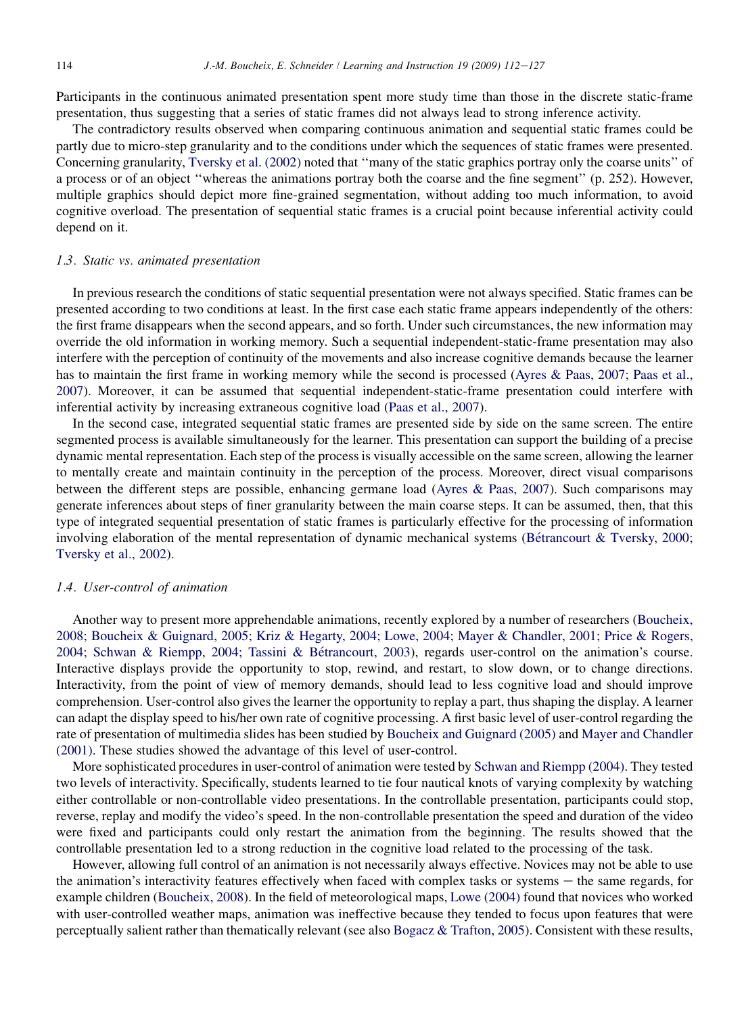Participants in the continuous animated presentation spent more study time than those in the discrete static-frame presentation, thus suggesting that a series of static frames did not always lead to strong inference activity.

The contradictory results observed when comparing continuous animation and sequential static frames could be partly due to micro-step granularity and to the conditions under which the sequences of static frames were presented. Concerning granularity, [Tversky et al. \(2002\)](#page-15-0) noted that ''many of the static graphics portray only the coarse units'' of a process or of an object ''whereas the animations portray both the coarse and the fine segment'' (p. 252). However, multiple graphics should depict more fine-grained segmentation, without adding too much information, to avoid cognitive overload. The presentation of sequential static frames is a crucial point because inferential activity could depend on it.

## 1.3. Static vs. animated presentation

In previous research the conditions of static sequential presentation were not always specified. Static frames can be presented according to two conditions at least. In the first case each static frame appears independently of the others: the first frame disappears when the second appears, and so forth. Under such circumstances, the new information may override the old information in working memory. Such a sequential independent-static-frame presentation may also interfere with the perception of continuity of the movements and also increase cognitive demands because the learner has to maintain the first frame in working memory while the second is processed [\(Ayres & Paas, 2007; Paas et al.,](#page-14-0) [2007](#page-14-0)). Moreover, it can be assumed that sequential independent-static-frame presentation could interfere with inferential activity by increasing extraneous cognitive load ([Paas et al., 2007\)](#page-15-0).

In the second case, integrated sequential static frames are presented side by side on the same screen. The entire segmented process is available simultaneously for the learner. This presentation can support the building of a precise dynamic mental representation. Each step of the process is visually accessible on the same screen, allowing the learner to mentally create and maintain continuity in the perception of the process. Moreover, direct visual comparisons between the different steps are possible, enhancing germane load [\(Ayres & Paas, 2007](#page-14-0)). Such comparisons may generate inferences about steps of finer granularity between the main coarse steps. It can be assumed, then, that this type of integrated sequential presentation of static frames is particularly effective for the processing of information involving elaboration of the mental representation of dynamic mechanical systems (Bétrancourt & Tversky, 2000; [Tversky et al., 2002\)](#page-14-0).

## 1.4. User-control of animation

Another way to present more apprehendable animations, recently explored by a number of researchers ([Boucheix,](#page-14-0) [2008; Boucheix & Guignard, 2005; Kriz & Hegarty, 2004; Lowe, 2004; Mayer & Chandler, 2001; Price & Rogers,](#page-14-0) 2004; Schwan & Riempp, 2004; Tassini & Bétrancourt, 2003), regards user-control on the animation's course. Interactive displays provide the opportunity to stop, rewind, and restart, to slow down, or to change directions. Interactivity, from the point of view of memory demands, should lead to less cognitive load and should improve comprehension. User-control also gives the learner the opportunity to replay a part, thus shaping the display. A learner can adapt the display speed to his/her own rate of cognitive processing. A first basic level of user-control regarding the rate of presentation of multimedia slides has been studied by [Boucheix and Guignard \(2005\)](#page-14-0) and [Mayer and Chandler](#page-15-0) [\(2001\).](#page-15-0) These studies showed the advantage of this level of user-control.

More sophisticated procedures in user-control of animation were tested by [Schwan and Riempp \(2004\)](#page-15-0). They tested two levels of interactivity. Specifically, students learned to tie four nautical knots of varying complexity by watching either controllable or non-controllable video presentations. In the controllable presentation, participants could stop, reverse, replay and modify the video's speed. In the non-controllable presentation the speed and duration of the video were fixed and participants could only restart the animation from the beginning. The results showed that the controllable presentation led to a strong reduction in the cognitive load related to the processing of the task.

However, allowing full control of an animation is not necessarily always effective. Novices may not be able to use the animation's interactivity features effectively when faced with complex tasks or systems – the same regards, for example children [\(Boucheix, 2008](#page-14-0)). In the field of meteorological maps, [Lowe \(2004\)](#page-15-0) found that novices who worked with user-controlled weather maps, animation was ineffective because they tended to focus upon features that were perceptually salient rather than thematically relevant (see also [Bogacz & Trafton, 2005](#page-14-0)). Consistent with these results,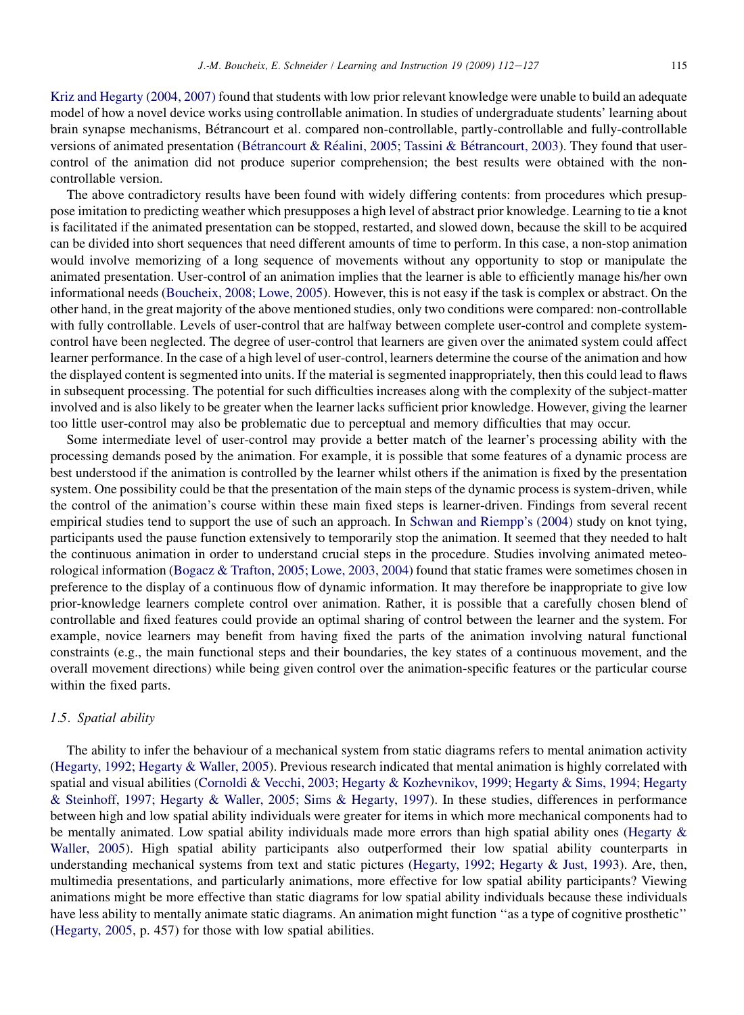[Kriz and Hegarty \(2004, 2007\)](#page-14-0) found that students with low prior relevant knowledge were unable to build an adequate model of how a novel device works using controllable animation. In studies of undergraduate students' learning about brain synapse mechanisms, Be´trancourt et al. compared non-controllable, partly-controllable and fully-controllable versions of animated presentation (Bétrancourt & Réalini, 2005; Tassini & Bétrancourt, 2003). They found that usercontrol of the animation did not produce superior comprehension; the best results were obtained with the noncontrollable version.

The above contradictory results have been found with widely differing contents: from procedures which presuppose imitation to predicting weather which presupposes a high level of abstract prior knowledge. Learning to tie a knot is facilitated if the animated presentation can be stopped, restarted, and slowed down, because the skill to be acquired can be divided into short sequences that need different amounts of time to perform. In this case, a non-stop animation would involve memorizing of a long sequence of movements without any opportunity to stop or manipulate the animated presentation. User-control of an animation implies that the learner is able to efficiently manage his/her own informational needs ([Boucheix, 2008; Lowe, 2005](#page-14-0)). However, this is not easy if the task is complex or abstract. On the other hand, in the great majority of the above mentioned studies, only two conditions were compared: non-controllable with fully controllable. Levels of user-control that are halfway between complete user-control and complete systemcontrol have been neglected. The degree of user-control that learners are given over the animated system could affect learner performance. In the case of a high level of user-control, learners determine the course of the animation and how the displayed content is segmented into units. If the material is segmented inappropriately, then this could lead to flaws in subsequent processing. The potential for such difficulties increases along with the complexity of the subject-matter involved and is also likely to be greater when the learner lacks sufficient prior knowledge. However, giving the learner too little user-control may also be problematic due to perceptual and memory difficulties that may occur.

Some intermediate level of user-control may provide a better match of the learner's processing ability with the processing demands posed by the animation. For example, it is possible that some features of a dynamic process are best understood if the animation is controlled by the learner whilst others if the animation is fixed by the presentation system. One possibility could be that the presentation of the main steps of the dynamic process is system-driven, while the control of the animation's course within these main fixed steps is learner-driven. Findings from several recent empirical studies tend to support the use of such an approach. In [Schwan and Riempp's \(2004\)](#page-15-0) study on knot tying, participants used the pause function extensively to temporarily stop the animation. It seemed that they needed to halt the continuous animation in order to understand crucial steps in the procedure. Studies involving animated meteorological information [\(Bogacz & Trafton, 2005; Lowe, 2003, 2004](#page-14-0)) found that static frames were sometimes chosen in preference to the display of a continuous flow of dynamic information. It may therefore be inappropriate to give low prior-knowledge learners complete control over animation. Rather, it is possible that a carefully chosen blend of controllable and fixed features could provide an optimal sharing of control between the learner and the system. For example, novice learners may benefit from having fixed the parts of the animation involving natural functional constraints (e.g., the main functional steps and their boundaries, the key states of a continuous movement, and the overall movement directions) while being given control over the animation-specific features or the particular course within the fixed parts.

## 1.5. Spatial ability

The ability to infer the behaviour of a mechanical system from static diagrams refers to mental animation activity [\(Hegarty, 1992; Hegarty & Waller, 2005\)](#page-14-0). Previous research indicated that mental animation is highly correlated with spatial and visual abilities [\(Cornoldi & Vecchi, 2003; Hegarty & Kozhevnikov, 1999; Hegarty & Sims, 1994; Hegarty](#page-14-0) [& Steinhoff, 1997; Hegarty & Waller, 2005; Sims & Hegarty, 1997\)](#page-14-0). In these studies, differences in performance between high and low spatial ability individuals were greater for items in which more mechanical components had to be mentally animated. Low spatial ability individuals made more errors than high spatial ability ones ([Hegarty &](#page-14-0) [Waller, 2005\)](#page-14-0). High spatial ability participants also outperformed their low spatial ability counterparts in understanding mechanical systems from text and static pictures [\(Hegarty, 1992; Hegarty & Just, 1993](#page-14-0)). Are, then, multimedia presentations, and particularly animations, more effective for low spatial ability participants? Viewing animations might be more effective than static diagrams for low spatial ability individuals because these individuals have less ability to mentally animate static diagrams. An animation might function ''as a type of cognitive prosthetic'' [\(Hegarty, 2005](#page-14-0), p. 457) for those with low spatial abilities.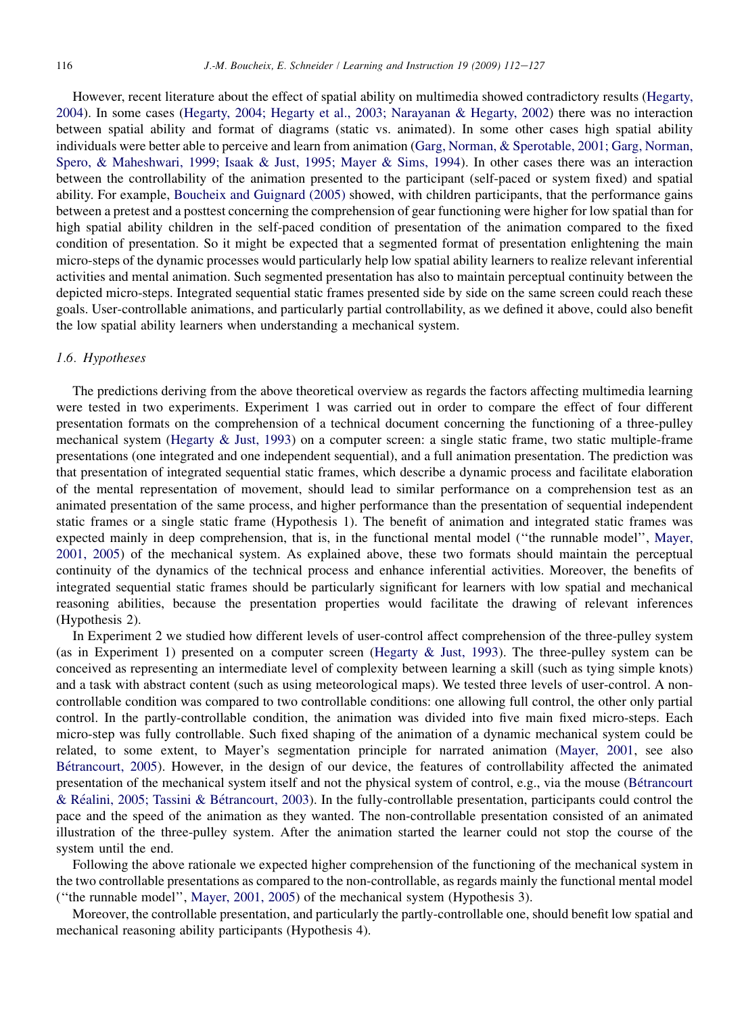However, recent literature about the effect of spatial ability on multimedia showed contradictory results [\(Hegarty,](#page-14-0) [2004](#page-14-0)). In some cases ([Hegarty, 2004; Hegarty et al., 2003; Narayanan & Hegarty, 2002](#page-14-0)) there was no interaction between spatial ability and format of diagrams (static vs. animated). In some other cases high spatial ability individuals were better able to perceive and learn from animation ([Garg, Norman, & Sperotable, 2001; Garg, Norman,](#page-14-0) [Spero, & Maheshwari, 1999; Isaak & Just, 1995; Mayer & Sims, 1994](#page-14-0)). In other cases there was an interaction between the controllability of the animation presented to the participant (self-paced or system fixed) and spatial ability. For example, [Boucheix and Guignard \(2005\)](#page-14-0) showed, with children participants, that the performance gains between a pretest and a posttest concerning the comprehension of gear functioning were higher for low spatial than for high spatial ability children in the self-paced condition of presentation of the animation compared to the fixed condition of presentation. So it might be expected that a segmented format of presentation enlightening the main micro-steps of the dynamic processes would particularly help low spatial ability learners to realize relevant inferential activities and mental animation. Such segmented presentation has also to maintain perceptual continuity between the depicted micro-steps. Integrated sequential static frames presented side by side on the same screen could reach these goals. User-controllable animations, and particularly partial controllability, as we defined it above, could also benefit the low spatial ability learners when understanding a mechanical system.

#### 1.6. Hypotheses

The predictions deriving from the above theoretical overview as regards the factors affecting multimedia learning were tested in two experiments. Experiment 1 was carried out in order to compare the effect of four different presentation formats on the comprehension of a technical document concerning the functioning of a three-pulley mechanical system ([Hegarty & Just, 1993](#page-14-0)) on a computer screen: a single static frame, two static multiple-frame presentations (one integrated and one independent sequential), and a full animation presentation. The prediction was that presentation of integrated sequential static frames, which describe a dynamic process and facilitate elaboration of the mental representation of movement, should lead to similar performance on a comprehension test as an animated presentation of the same process, and higher performance than the presentation of sequential independent static frames or a single static frame (Hypothesis 1). The benefit of animation and integrated static frames was expected mainly in deep comprehension, that is, in the functional mental model (''the runnable model'', [Mayer,](#page-15-0) [2001, 2005\)](#page-15-0) of the mechanical system. As explained above, these two formats should maintain the perceptual continuity of the dynamics of the technical process and enhance inferential activities. Moreover, the benefits of integrated sequential static frames should be particularly significant for learners with low spatial and mechanical reasoning abilities, because the presentation properties would facilitate the drawing of relevant inferences (Hypothesis 2).

In Experiment 2 we studied how different levels of user-control affect comprehension of the three-pulley system (as in Experiment 1) presented on a computer screen [\(Hegarty & Just, 1993\)](#page-14-0). The three-pulley system can be conceived as representing an intermediate level of complexity between learning a skill (such as tying simple knots) and a task with abstract content (such as using meteorological maps). We tested three levels of user-control. A noncontrollable condition was compared to two controllable conditions: one allowing full control, the other only partial control. In the partly-controllable condition, the animation was divided into five main fixed micro-steps. Each micro-step was fully controllable. Such fixed shaping of the animation of a dynamic mechanical system could be related, to some extent, to Mayer's segmentation principle for narrated animation ([Mayer, 2001](#page-15-0), see also Bétrancourt, 2005). However, in the design of our device, the features of controllability affected the animated presentation of the mechanical system itself and not the physical system of control, e.g., via the mouse (Bétrancourt & Réalini, 2005; Tassini & Bétrancourt, 2003). In the fully-controllable presentation, participants could control the pace and the speed of the animation as they wanted. The non-controllable presentation consisted of an animated illustration of the three-pulley system. After the animation started the learner could not stop the course of the system until the end.

Following the above rationale we expected higher comprehension of the functioning of the mechanical system in the two controllable presentations as compared to the non-controllable, as regards mainly the functional mental model (''the runnable model'', [Mayer, 2001, 2005](#page-15-0)) of the mechanical system (Hypothesis 3).

Moreover, the controllable presentation, and particularly the partly-controllable one, should benefit low spatial and mechanical reasoning ability participants (Hypothesis 4).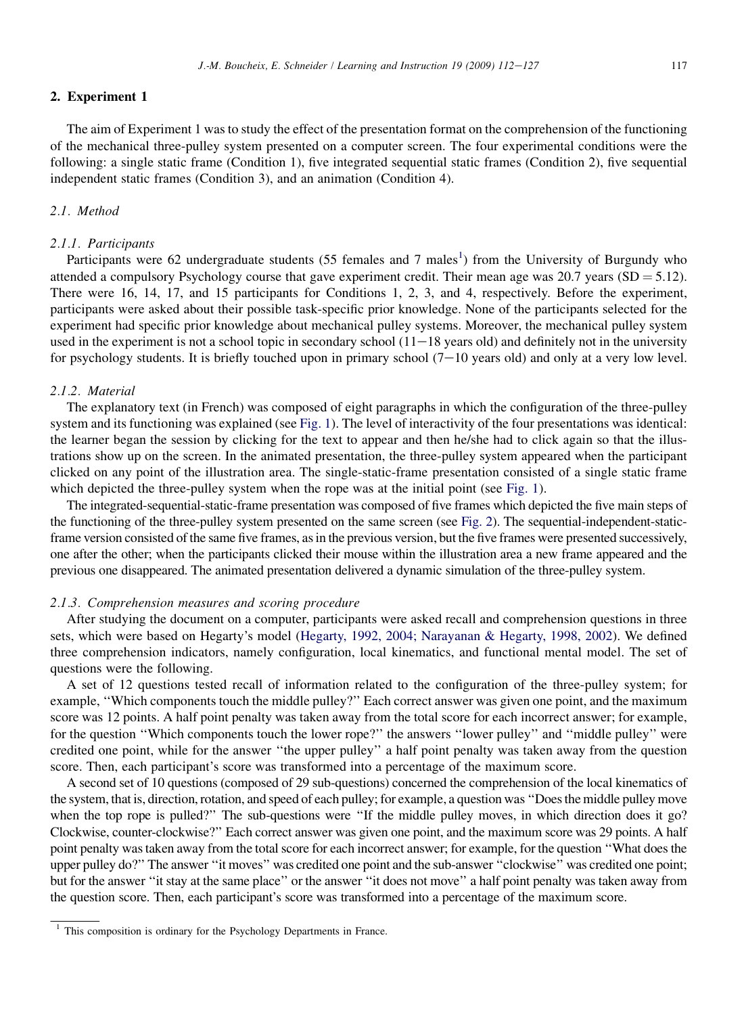# 2. Experiment 1

The aim of Experiment 1 was to study the effect of the presentation format on the comprehension of the functioning of the mechanical three-pulley system presented on a computer screen. The four experimental conditions were the following: a single static frame (Condition 1), five integrated sequential static frames (Condition 2), five sequential independent static frames (Condition 3), and an animation (Condition 4).

# 2.1. Method

#### 2.1.1. Participants

Participants were 62 undergraduate students (55 females and 7 males<sup>1</sup>) from the University of Burgundy who attended a compulsory Psychology course that gave experiment credit. Their mean age was  $20.7$  years (SD = 5.12). There were 16, 14, 17, and 15 participants for Conditions 1, 2, 3, and 4, respectively. Before the experiment, participants were asked about their possible task-specific prior knowledge. None of the participants selected for the experiment had specific prior knowledge about mechanical pulley systems. Moreover, the mechanical pulley system used in the experiment is not a school topic in secondary school  $(11-18$  years old) and definitely not in the university for psychology students. It is briefly touched upon in primary school  $(7-10$  years old) and only at a very low level.

# 2.1.2. Material

The explanatory text (in French) was composed of eight paragraphs in which the configuration of the three-pulley system and its functioning was explained (see [Fig. 1](#page-6-0)). The level of interactivity of the four presentations was identical: the learner began the session by clicking for the text to appear and then he/she had to click again so that the illustrations show up on the screen. In the animated presentation, the three-pulley system appeared when the participant clicked on any point of the illustration area. The single-static-frame presentation consisted of a single static frame which depicted the three-pulley system when the rope was at the initial point (see [Fig. 1\)](#page-6-0).

The integrated-sequential-static-frame presentation was composed of five frames which depicted the five main steps of the functioning of the three-pulley system presented on the same screen (see [Fig. 2\)](#page-7-0). The sequential-independent-staticframe version consisted of the same five frames, as in the previous version, but the five frames were presented successively, one after the other; when the participants clicked their mouse within the illustration area a new frame appeared and the previous one disappeared. The animated presentation delivered a dynamic simulation of the three-pulley system.

# 2.1.3. Comprehension measures and scoring procedure

After studying the document on a computer, participants were asked recall and comprehension questions in three sets, which were based on Hegarty's model ([Hegarty, 1992, 2004; Narayanan & Hegarty, 1998, 2002](#page-14-0)). We defined three comprehension indicators, namely configuration, local kinematics, and functional mental model. The set of questions were the following.

A set of 12 questions tested recall of information related to the configuration of the three-pulley system; for example, ''Which components touch the middle pulley?'' Each correct answer was given one point, and the maximum score was 12 points. A half point penalty was taken away from the total score for each incorrect answer; for example, for the question ''Which components touch the lower rope?'' the answers ''lower pulley'' and ''middle pulley'' were credited one point, while for the answer ''the upper pulley'' a half point penalty was taken away from the question score. Then, each participant's score was transformed into a percentage of the maximum score.

A second set of 10 questions (composed of 29 sub-questions) concerned the comprehension of the local kinematics of the system, that is, direction, rotation, and speed of each pulley; for example, a question was ''Does the middle pulley move when the top rope is pulled?" The sub-questions were "If the middle pulley moves, in which direction does it go? Clockwise, counter-clockwise?'' Each correct answer was given one point, and the maximum score was 29 points. A half point penalty was taken away from the total score for each incorrect answer; for example, for the question ''What does the upper pulley do?'' The answer ''it moves'' was credited one point and the sub-answer ''clockwise'' was credited one point; but for the answer ''it stay at the same place'' or the answer ''it does not move'' a half point penalty was taken away from the question score. Then, each participant's score was transformed into a percentage of the maximum score.

 $1$  This composition is ordinary for the Psychology Departments in France.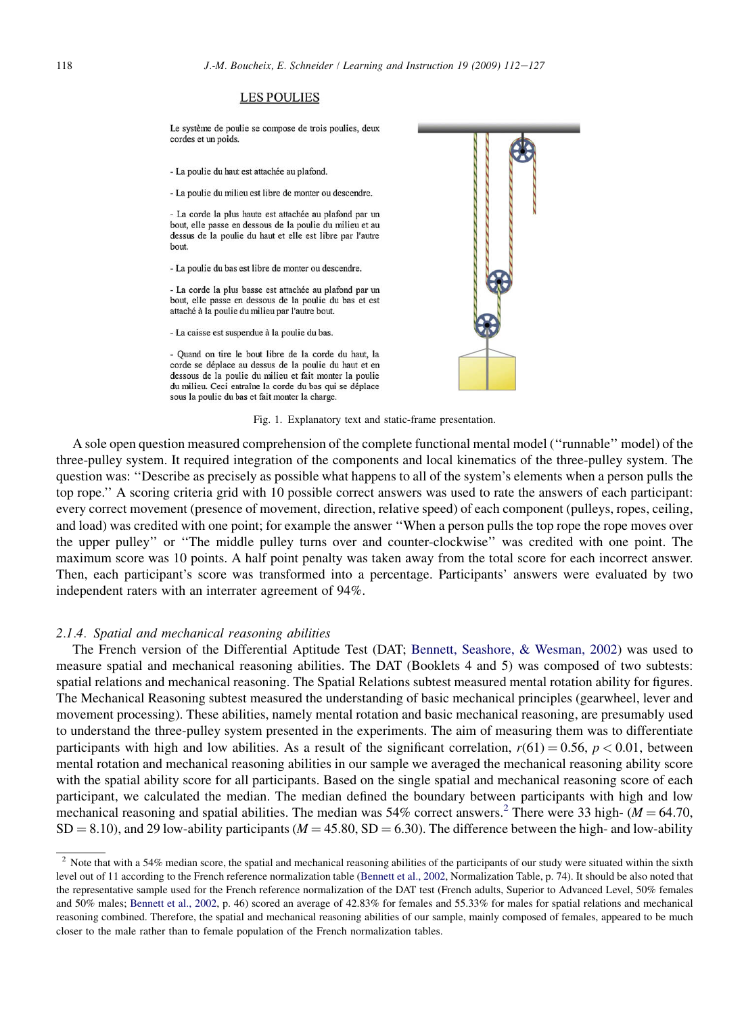#### **LES POULIES**

<span id="page-6-0"></span>Le système de poulie se compose de trois poulies, deux cordes et un poids.

- La poulie du haut est attachée au plafond.

- La poulie du milieu est libre de monter ou descendre.

- La corde la plus haute est attachée au plafond par un bout, elle passe en dessous de la poulie du milieu et au dessus de la poulie du haut et elle est libre par l'autre bout.

- La poulie du bas est libre de monter ou descendre.

- La corde la plus basse est attachée au plafond par un bout, elle passe en dessous de la poulie du bas et est attaché à la poulie du milieu par l'autre bout.

- La caisse est suspendue à la poulie du bas.

- Quand on tire le bout libre de la corde du haut, la corde se déplace au dessus de la poulie du haut et en dessous de la poulie du milieu et fait monter la poulie du milieu. Ceci entraîne la corde du bas qui se déplace sous la poulie du bas et fait monter la charge.



Fig. 1. Explanatory text and static-frame presentation.

A sole open question measured comprehension of the complete functional mental model (''runnable'' model) of the three-pulley system. It required integration of the components and local kinematics of the three-pulley system. The question was: ''Describe as precisely as possible what happens to all of the system's elements when a person pulls the top rope.'' A scoring criteria grid with 10 possible correct answers was used to rate the answers of each participant: every correct movement (presence of movement, direction, relative speed) of each component (pulleys, ropes, ceiling, and load) was credited with one point; for example the answer ''When a person pulls the top rope the rope moves over the upper pulley'' or ''The middle pulley turns over and counter-clockwise'' was credited with one point. The maximum score was 10 points. A half point penalty was taken away from the total score for each incorrect answer. Then, each participant's score was transformed into a percentage. Participants' answers were evaluated by two independent raters with an interrater agreement of 94%.

#### 2.1.4. Spatial and mechanical reasoning abilities

The French version of the Differential Aptitude Test (DAT; [Bennett, Seashore, & Wesman, 2002\)](#page-14-0) was used to measure spatial and mechanical reasoning abilities. The DAT (Booklets 4 and 5) was composed of two subtests: spatial relations and mechanical reasoning. The Spatial Relations subtest measured mental rotation ability for figures. The Mechanical Reasoning subtest measured the understanding of basic mechanical principles (gearwheel, lever and movement processing). These abilities, namely mental rotation and basic mechanical reasoning, are presumably used to understand the three-pulley system presented in the experiments. The aim of measuring them was to differentiate participants with high and low abilities. As a result of the significant correlation,  $r(61) = 0.56$ ,  $p < 0.01$ , between mental rotation and mechanical reasoning abilities in our sample we averaged the mechanical reasoning ability score with the spatial ability score for all participants. Based on the single spatial and mechanical reasoning score of each participant, we calculated the median. The median defined the boundary between participants with high and low mechanical reasoning and spatial abilities. The median was  $54\%$  correct answers.<sup>2</sup> There were 33 high- ( $M = 64.70$ ,  $SD = 8.10$ ), and 29 low-ability participants ( $M = 45.80$ ,  $SD = 6.30$ ). The difference between the high- and low-ability

<sup>&</sup>lt;sup>2</sup> Note that with a 54% median score, the spatial and mechanical reasoning abilities of the participants of our study were situated within the sixth level out of 11 according to the French reference normalization table ([Bennett et al., 2002,](#page-14-0) Normalization Table, p. 74). It should be also noted that the representative sample used for the French reference normalization of the DAT test (French adults, Superior to Advanced Level, 50% females and 50% males; [Bennett et al., 2002,](#page-14-0) p. 46) scored an average of 42.83% for females and 55.33% for males for spatial relations and mechanical reasoning combined. Therefore, the spatial and mechanical reasoning abilities of our sample, mainly composed of females, appeared to be much closer to the male rather than to female population of the French normalization tables.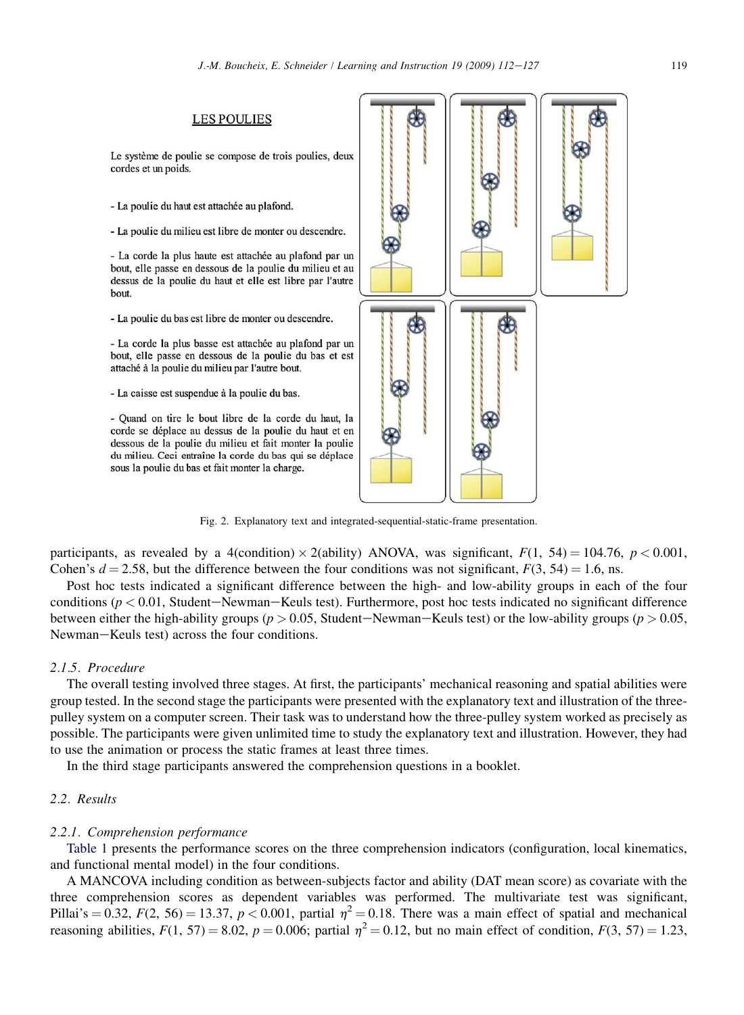# **LES POULIES**

<span id="page-7-0"></span>Le système de poulie se compose de trois poulies, deux cordes et un poids.

- La poulie du haut est attachée au plafond.
- La poulie du milieu est libre de monter ou descendre.

- La corde la plus haute est attachée au plafond par un bout, elle passe en dessous de la poulie du milieu et au dessus de la poulie du haut et elle est libre par l'autre hout.

- La poulie du bas est libre de monter ou descendre.

- La corde la plus basse est attachée au plafond par un bout, elle passe en dessous de la poulie du bas et est attaché à la poulie du milieu par l'autre bout.

- La caisse est suspendue à la poulie du bas.

- Quand on tire le bout libre de la corde du haut, la corde se déplace au dessus de la poulie du haut et en dessous de la poulie du milieu et fait monter la poulie du milieu. Ceci entraîne la corde du bas qui se déplace sous la poulie du bas et fait monter la charge.



Fig. 2. Explanatory text and integrated-sequential-static-frame presentation.

participants, as revealed by a 4(condition)  $\times$  2(ability) ANOVA, was significant,  $F(1, 54) = 104.76$ ,  $p < 0.001$ , Cohen's  $d = 2.58$ , but the difference between the four conditions was not significant,  $F(3, 54) = 1.6$ , ns.

Post hoc tests indicated a significant difference between the high- and low-ability groups in each of the four conditions ( $p < 0.01$ , Student-Newman-Keuls test). Furthermore, post hoc tests indicated no significant difference between either the high-ability groups ( $p > 0.05$ , Student-Newman-Keuls test) or the low-ability groups ( $p > 0.05$ , Newman-Keuls test) across the four conditions.

### 2.1.5. Procedure

The overall testing involved three stages. At first, the participants' mechanical reasoning and spatial abilities were group tested. In the second stage the participants were presented with the explanatory text and illustration of the threepulley system on a computer screen. Their task was to understand how the three-pulley system worked as precisely as possible. The participants were given unlimited time to study the explanatory text and illustration. However, they had to use the animation or process the static frames at least three times.

In the third stage participants answered the comprehension questions in a booklet.

# 2.2. Results

## 2.2.1. Comprehension performance

[Table 1](#page-8-0) presents the performance scores on the three comprehension indicators (configuration, local kinematics, and functional mental model) in the four conditions.

A MANCOVA including condition as between-subjects factor and ability (DAT mean score) as covariate with the three comprehension scores as dependent variables was performed. The multivariate test was significant, Pillai's = 0.32,  $F(2, 56) = 13.37$ ,  $p < 0.001$ , partial  $\eta^2 = 0.18$ . There was a main effect of spatial and mechanical reasoning abilities,  $F(1, 57) = 8.02$ ,  $p = 0.006$ ; partial  $\eta^2 = 0.12$ , but no main effect of condition,  $F(3, 57) = 1.23$ ,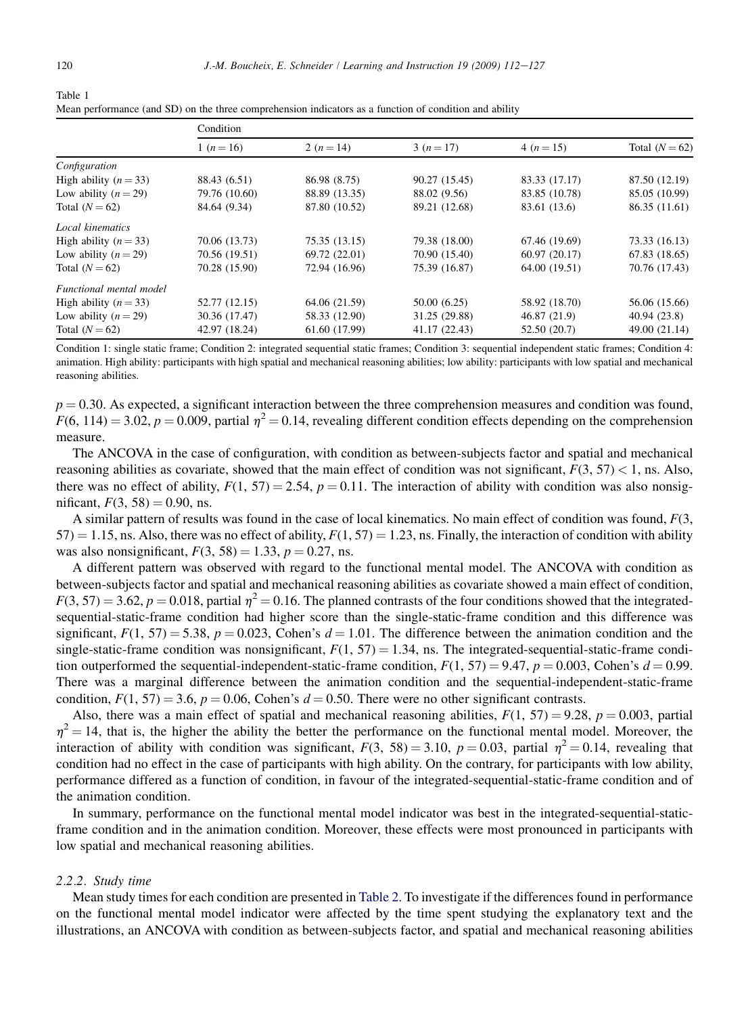|                         | Condition     |               |               |               |                  |  |
|-------------------------|---------------|---------------|---------------|---------------|------------------|--|
|                         | $1(n=16)$     | 2 $(n = 14)$  | $3(n=17)$     | $4(n=15)$     | Total $(N = 62)$ |  |
| Configuration           |               |               |               |               |                  |  |
| High ability $(n = 33)$ | 88.43 (6.51)  | 86.98 (8.75)  | 90.27 (15.45) | 83.33 (17.17) | 87.50 (12.19)    |  |
| Low ability $(n = 29)$  | 79.76 (10.60) | 88.89 (13.35) | 88.02 (9.56)  | 83.85 (10.78) | 85.05 (10.99)    |  |
| Total $(N = 62)$        | 84.64 (9.34)  | 87.80 (10.52) | 89.21 (12.68) | 83.61 (13.6)  | 86.35 (11.61)    |  |
| Local kinematics        |               |               |               |               |                  |  |
| High ability $(n = 33)$ | 70.06 (13.73) | 75.35 (13.15) | 79.38 (18.00) | 67.46 (19.69) | 73.33 (16.13)    |  |
| Low ability $(n = 29)$  | 70.56 (19.51) | 69.72 (22.01) | 70.90 (15.40) | 60.97(20.17)  | 67.83 (18.65)    |  |
| Total $(N = 62)$        | 70.28 (15.90) | 72.94 (16.96) | 75.39 (16.87) | 64.00 (19.51) | 70.76 (17.43)    |  |
| Functional mental model |               |               |               |               |                  |  |
| High ability $(n = 33)$ | 52.77 (12.15) | 64.06 (21.59) | 50.00(6.25)   | 58.92 (18.70) | 56.06 (15.66)    |  |
| Low ability $(n = 29)$  | 30.36 (17.47) | 58.33 (12.90) | 31.25 (29.88) | 46.87 (21.9)  | 40.94(23.8)      |  |
| Total $(N = 62)$        | 42.97 (18.24) | 61.60 (17.99) | 41.17 (22.43) | 52.50 (20.7)  | 49.00 (21.14)    |  |

<span id="page-8-0"></span>Table 1 Mean performance (and SD) on the three comprehension indicators as a function of condition and ability

Condition 1: single static frame; Condition 2: integrated sequential static frames; Condition 3: sequential independent static frames; Condition 4: animation. High ability: participants with high spatial and mechanical reasoning abilities; low ability: participants with low spatial and mechanical reasoning abilities.

 $p = 0.30$ . As expected, a significant interaction between the three comprehension measures and condition was found,  $F(6, 114) = 3.02$ ,  $p = 0.009$ , partial  $\eta^2 = 0.14$ , revealing different condition effects depending on the comprehension measure.

The ANCOVA in the case of configuration, with condition as between-subjects factor and spatial and mechanical reasoning abilities as covariate, showed that the main effect of condition was not significant,  $F(3, 57) < 1$ , ns. Also, there was no effect of ability,  $F(1, 57) = 2.54$ ,  $p = 0.11$ . The interaction of ability with condition was also nonsignificant,  $F(3, 58) = 0.90$ , ns.

A similar pattern of results was found in the case of local kinematics. No main effect of condition was found, F(3,  $57$ ) = 1.15, ns. Also, there was no effect of ability,  $F(1, 57) = 1.23$ , ns. Finally, the interaction of condition with ability was also nonsignificant,  $F(3, 58) = 1.33, p = 0.27$ , ns.

A different pattern was observed with regard to the functional mental model. The ANCOVA with condition as between-subjects factor and spatial and mechanical reasoning abilities as covariate showed a main effect of condition,  $F(3, 57) = 3.62$ ,  $p = 0.018$ , partial  $\eta^2 = 0.16$ . The planned contrasts of the four conditions showed that the integratedsequential-static-frame condition had higher score than the single-static-frame condition and this difference was significant,  $F(1, 57) = 5.38$ ,  $p = 0.023$ , Cohen's  $d = 1.01$ . The difference between the animation condition and the single-static-frame condition was nonsignificant,  $F(1, 57) = 1.34$ , ns. The integrated-sequential-static-frame condition outperformed the sequential-independent-static-frame condition,  $F(1, 57) = 9.47$ ,  $p = 0.003$ , Cohen's  $d = 0.99$ . There was a marginal difference between the animation condition and the sequential-independent-static-frame condition,  $F(1, 57) = 3.6$ ,  $p = 0.06$ , Cohen's  $d = 0.50$ . There were no other significant contrasts.

Also, there was a main effect of spatial and mechanical reasoning abilities,  $F(1, 57) = 9.28$ ,  $p = 0.003$ , partial  $n^2 = 14$ , that is, the higher the ability the better the performance on the functional mental model. Moreover, the interaction of ability with condition was significant,  $F(3, 58) = 3.10$ ,  $p = 0.03$ , partial  $\eta^2 = 0.14$ , revealing that condition had no effect in the case of participants with high ability. On the contrary, for participants with low ability, performance differed as a function of condition, in favour of the integrated-sequential-static-frame condition and of the animation condition.

In summary, performance on the functional mental model indicator was best in the integrated-sequential-staticframe condition and in the animation condition. Moreover, these effects were most pronounced in participants with low spatial and mechanical reasoning abilities.

#### 2.2.2. Study time

Mean study times for each condition are presented in [Table 2.](#page-9-0) To investigate if the differences found in performance on the functional mental model indicator were affected by the time spent studying the explanatory text and the illustrations, an ANCOVA with condition as between-subjects factor, and spatial and mechanical reasoning abilities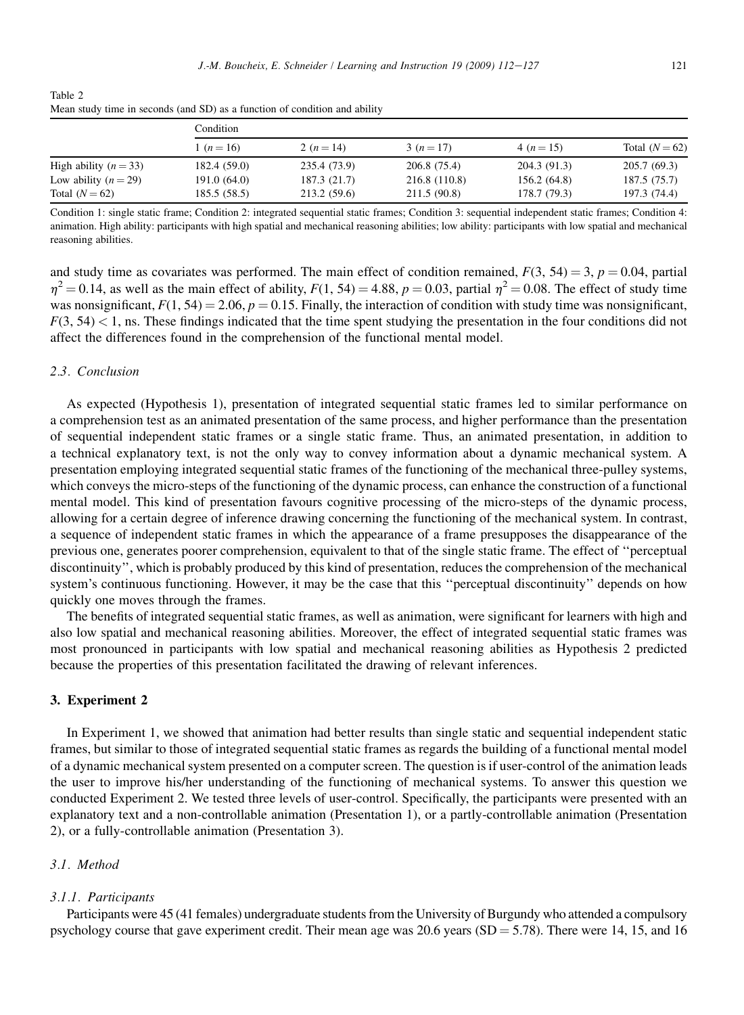| Mean study time in seconds (and SD) as a function of condition and ability |                |              |               |              |                  |  |
|----------------------------------------------------------------------------|----------------|--------------|---------------|--------------|------------------|--|
|                                                                            | Condition      |              |               |              |                  |  |
|                                                                            | 1 ( $n = 16$ ) | 2 $(n = 14)$ | $3(n=17)$     | $4(n=15)$    | Total $(N = 62)$ |  |
| High ability $(n = 33)$                                                    | 182.4(59.0)    | 235.4 (73.9) | 206.8(75.4)   | 204.3 (91.3) | 205.7(69.3)      |  |
| Low ability $(n = 29)$                                                     | 191.0(64.0)    | 187.3(21.7)  | 216.8 (110.8) | 156.2(64.8)  | 187.5 (75.7)     |  |
| Total $(N = 62)$                                                           | 185.5(58.5)    | 213.2(59.6)  | 211.5 (90.8)  | 178.7 (79.3) | 197.3 (74.4)     |  |

Condition 1: single static frame; Condition 2: integrated sequential static frames; Condition 3: sequential independent static frames; Condition 4: animation. High ability: participants with high spatial and mechanical reasoning abilities; low ability: participants with low spatial and mechanical reasoning abilities.

and study time as covariates was performed. The main effect of condition remained,  $F(3, 54) = 3$ ,  $p = 0.04$ , partial  $\eta^2 = 0.14$ , as well as the main effect of ability,  $F(1, 54) = 4.88$ ,  $p = 0.03$ , partial  $\eta^2 = 0.08$ . The effect of study time was nonsignificant,  $F(1, 54) = 2.06$ ,  $p = 0.15$ . Finally, the interaction of condition with study time was nonsignificant,  $F(3, 54) < 1$ , ns. These findings indicated that the time spent studying the presentation in the four conditions did not affect the differences found in the comprehension of the functional mental model.

## 2.3. Conclusion

<span id="page-9-0"></span>Table 2

As expected (Hypothesis 1), presentation of integrated sequential static frames led to similar performance on a comprehension test as an animated presentation of the same process, and higher performance than the presentation of sequential independent static frames or a single static frame. Thus, an animated presentation, in addition to a technical explanatory text, is not the only way to convey information about a dynamic mechanical system. A presentation employing integrated sequential static frames of the functioning of the mechanical three-pulley systems, which conveys the micro-steps of the functioning of the dynamic process, can enhance the construction of a functional mental model. This kind of presentation favours cognitive processing of the micro-steps of the dynamic process, allowing for a certain degree of inference drawing concerning the functioning of the mechanical system. In contrast, a sequence of independent static frames in which the appearance of a frame presupposes the disappearance of the previous one, generates poorer comprehension, equivalent to that of the single static frame. The effect of ''perceptual discontinuity'', which is probably produced by this kind of presentation, reduces the comprehension of the mechanical system's continuous functioning. However, it may be the case that this ''perceptual discontinuity'' depends on how quickly one moves through the frames.

The benefits of integrated sequential static frames, as well as animation, were significant for learners with high and also low spatial and mechanical reasoning abilities. Moreover, the effect of integrated sequential static frames was most pronounced in participants with low spatial and mechanical reasoning abilities as Hypothesis 2 predicted because the properties of this presentation facilitated the drawing of relevant inferences.

# 3. Experiment 2

In Experiment 1, we showed that animation had better results than single static and sequential independent static frames, but similar to those of integrated sequential static frames as regards the building of a functional mental model of a dynamic mechanical system presented on a computer screen. The question is if user-control of the animation leads the user to improve his/her understanding of the functioning of mechanical systems. To answer this question we conducted Experiment 2. We tested three levels of user-control. Specifically, the participants were presented with an explanatory text and a non-controllable animation (Presentation 1), or a partly-controllable animation (Presentation 2), or a fully-controllable animation (Presentation 3).

# 3.1. Method

#### 3.1.1. Participants

Participants were 45 (41 females) undergraduate students from the University of Burgundy who attended a compulsory psychology course that gave experiment credit. Their mean age was 20.6 years ( $SD = 5.78$ ). There were 14, 15, and 16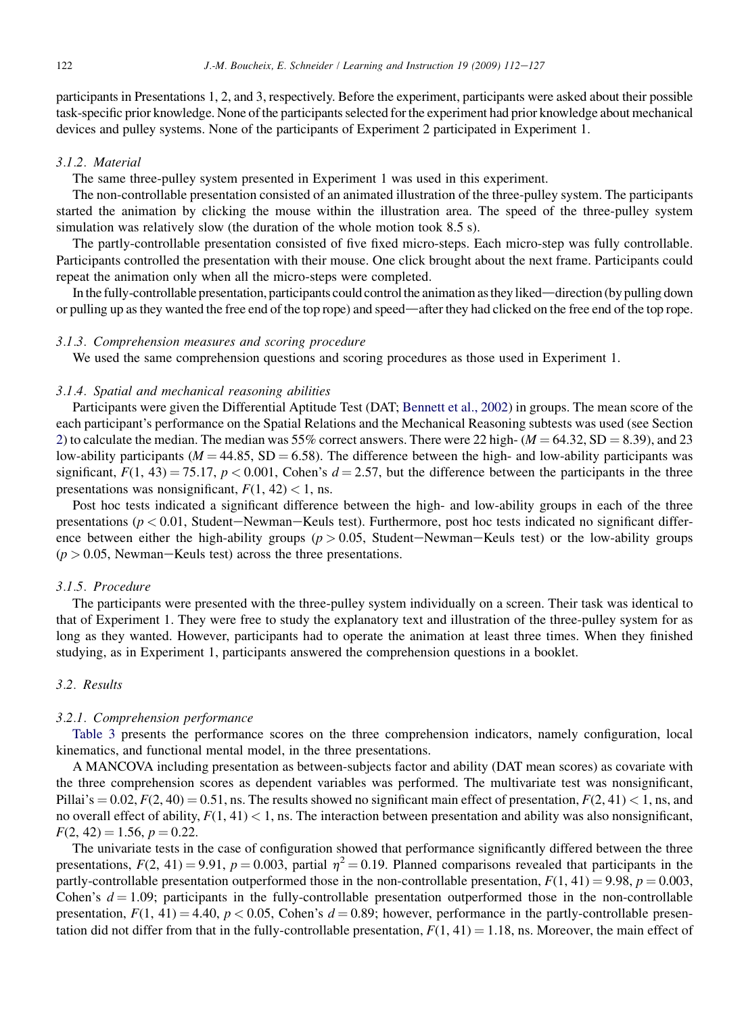participants in Presentations 1, 2, and 3, respectively. Before the experiment, participants were asked about their possible task-specific prior knowledge. None of the participants selected for the experiment had prior knowledge about mechanical devices and pulley systems. None of the participants of Experiment 2 participated in Experiment 1.

## 3.1.2. Material

The same three-pulley system presented in Experiment 1 was used in this experiment.

The non-controllable presentation consisted of an animated illustration of the three-pulley system. The participants started the animation by clicking the mouse within the illustration area. The speed of the three-pulley system simulation was relatively slow (the duration of the whole motion took 8.5 s).

The partly-controllable presentation consisted of five fixed micro-steps. Each micro-step was fully controllable. Participants controlled the presentation with their mouse. One click brought about the next frame. Participants could repeat the animation only when all the micro-steps were completed.

In the fully-controllable presentation, participants could control the animation as they liked—direction (by pulling down or pulling up as they wanted the free end of the top rope) and speed—after they had clicked on the free end of the top rope.

## 3.1.3. Comprehension measures and scoring procedure

We used the same comprehension questions and scoring procedures as those used in Experiment 1.

#### 3.1.4. Spatial and mechanical reasoning abilities

Participants were given the Differential Aptitude Test (DAT; [Bennett et al., 2002](#page-14-0)) in groups. The mean score of the each participant's performance on the Spatial Relations and the Mechanical Reasoning subtests was used (see Section 2) to calculate the median. The median was 55% correct answers. There were 22 high-  $(M = 64.32, SD = 8.39)$ , and 23 low-ability participants ( $M = 44.85$ , SD = 6.58). The difference between the high- and low-ability participants was significant,  $F(1, 43) = 75.17$ ,  $p < 0.001$ , Cohen's  $d = 2.57$ , but the difference between the participants in the three presentations was nonsignificant,  $F(1, 42) < 1$ , ns.

Post hoc tests indicated a significant difference between the high- and low-ability groups in each of the three presentations ( $p < 0.01$ , Student-Newman-Keuls test). Furthermore, post hoc tests indicated no significant difference between either the high-ability groups ( $p > 0.05$ , Student-Newman-Keuls test) or the low-ability groups  $(p > 0.05,$  Newman-Keuls test) across the three presentations.

#### 3.1.5. Procedure

The participants were presented with the three-pulley system individually on a screen. Their task was identical to that of Experiment 1. They were free to study the explanatory text and illustration of the three-pulley system for as long as they wanted. However, participants had to operate the animation at least three times. When they finished studying, as in Experiment 1, participants answered the comprehension questions in a booklet.

# 3.2. Results

# 3.2.1. Comprehension performance

[Table 3](#page-11-0) presents the performance scores on the three comprehension indicators, namely configuration, local kinematics, and functional mental model, in the three presentations.

A MANCOVA including presentation as between-subjects factor and ability (DAT mean scores) as covariate with the three comprehension scores as dependent variables was performed. The multivariate test was nonsignificant, Pillai's  $= 0.02, F(2, 40) = 0.51$ , ns. The results showed no significant main effect of presentation,  $F(2, 41) < 1$ , ns, and no overall effect of ability,  $F(1, 41) < 1$ , ns. The interaction between presentation and ability was also nonsignificant,  $F(2, 42) = 1.56, p = 0.22.$ 

The univariate tests in the case of configuration showed that performance significantly differed between the three presentations,  $F(2, 41) = 9.91$ ,  $p = 0.003$ , partial  $\eta^2 = 0.19$ . Planned comparisons revealed that participants in the partly-controllable presentation outperformed those in the non-controllable presentation,  $F(1, 41) = 9.98$ ,  $p = 0.003$ , Cohen's  $d = 1.09$ ; participants in the fully-controllable presentation outperformed those in the non-controllable presentation,  $F(1, 41) = 4.40$ ,  $p < 0.05$ , Cohen's  $d = 0.89$ ; however, performance in the partly-controllable presentation did not differ from that in the fully-controllable presentation,  $F(1, 41) = 1.18$ , ns. Moreover, the main effect of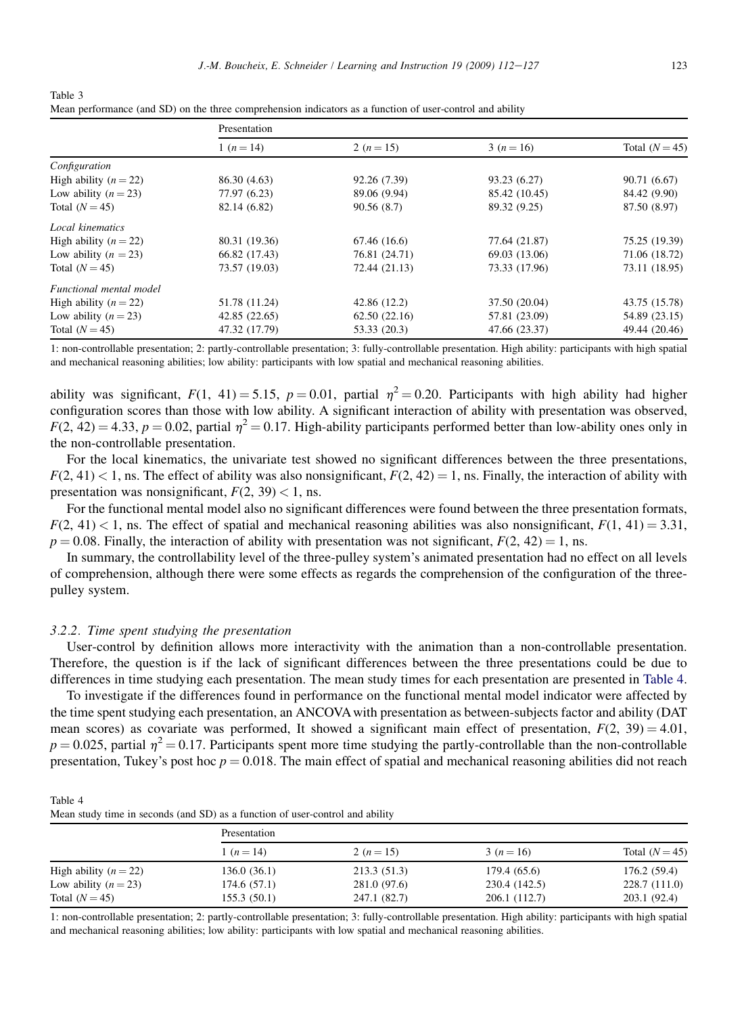<span id="page-11-0"></span>

| Table 3                                                                                                   |  |
|-----------------------------------------------------------------------------------------------------------|--|
| Mean performance (and SD) on the three comprehension indicators as a function of user-control and ability |  |

|                         | Presentation  |               |               |                  |  |
|-------------------------|---------------|---------------|---------------|------------------|--|
|                         | 1 $(n=14)$    | 2 $(n = 15)$  | $3(n=16)$     | Total $(N = 45)$ |  |
| Configuration           |               |               |               |                  |  |
| High ability $(n = 22)$ | 86.30 (4.63)  | 92.26 (7.39)  | 93.23 (6.27)  | 90.71 (6.67)     |  |
| Low ability $(n = 23)$  | 77.97 (6.23)  | 89.06 (9.94)  | 85.42 (10.45) | 84.42 (9.90)     |  |
| Total $(N = 45)$        | 82.14 (6.82)  | 90.56(8.7)    | 89.32 (9.25)  | 87.50 (8.97)     |  |
| Local kinematics        |               |               |               |                  |  |
| High ability $(n = 22)$ | 80.31 (19.36) | 67.46(16.6)   | 77.64 (21.87) | 75.25 (19.39)    |  |
| Low ability $(n = 23)$  | 66.82 (17.43) | 76.81 (24.71) | 69.03 (13.06) | 71.06 (18.72)    |  |
| Total $(N = 45)$        | 73.57 (19.03) | 72.44 (21.13) | 73.33 (17.96) | 73.11 (18.95)    |  |
| Functional mental model |               |               |               |                  |  |
| High ability $(n = 22)$ | 51.78 (11.24) | 42.86 (12.2)  | 37.50 (20.04) | 43.75 (15.78)    |  |
| Low ability $(n = 23)$  | 42.85(22.65)  | 62.50(22.16)  | 57.81 (23.09) | 54.89 (23.15)    |  |
| Total $(N = 45)$        | 47.32 (17.79) | 53.33 (20.3)  | 47.66 (23.37) | 49.44 (20.46)    |  |

1: non-controllable presentation; 2: partly-controllable presentation; 3: fully-controllable presentation. High ability: participants with high spatial and mechanical reasoning abilities; low ability: participants with low spatial and mechanical reasoning abilities.

ability was significant,  $F(1, 41) = 5.15$ ,  $p = 0.01$ , partial  $\eta^2 = 0.20$ . Participants with high ability had higher configuration scores than those with low ability. A significant interaction of ability with presentation was observed,  $F(2, 42) = 4.33$ ,  $p = 0.02$ , partial  $p^2 = 0.17$ . High-ability participants performed better than low-ability ones only in the non-controllable presentation.

For the local kinematics, the univariate test showed no significant differences between the three presentations,  $F(2, 41) < 1$ , ns. The effect of ability was also nonsignificant,  $F(2, 42) = 1$ , ns. Finally, the interaction of ability with presentation was nonsignificant,  $F(2, 39) < 1$ , ns.

For the functional mental model also no significant differences were found between the three presentation formats,  $F(2, 41) < 1$ , ns. The effect of spatial and mechanical reasoning abilities was also nonsignificant,  $F(1, 41) = 3.31$ ,  $p = 0.08$ . Finally, the interaction of ability with presentation was not significant,  $F(2, 42) = 1$ , ns.

In summary, the controllability level of the three-pulley system's animated presentation had no effect on all levels of comprehension, although there were some effects as regards the comprehension of the configuration of the threepulley system.

#### 3.2.2. Time spent studying the presentation

User-control by definition allows more interactivity with the animation than a non-controllable presentation. Therefore, the question is if the lack of significant differences between the three presentations could be due to differences in time studying each presentation. The mean study times for each presentation are presented in Table 4.

To investigate if the differences found in performance on the functional mental model indicator were affected by the time spent studying each presentation, an ANCOVA with presentation as between-subjects factor and ability (DAT mean scores) as covariate was performed, It showed a significant main effect of presentation,  $F(2, 39) = 4.01$ ,  $p = 0.025$ , partial  $\eta^2 = 0.17$ . Participants spent more time studying the partly-controllable than the non-controllable presentation, Tukey's post hoc  $p = 0.018$ . The main effect of spatial and mechanical reasoning abilities did not reach

Table 4 Mean study time in seconds (and SD) as a function of user-control and ability

|                        | Presentation |              |               |                  |
|------------------------|--------------|--------------|---------------|------------------|
|                        | $1(n=14)$    | 2 $(n=15)$   | $3(n=16)$     | Total $(N = 45)$ |
| High ability $(n=22)$  | 136.0 (36.1) | 213.3(51.3)  | 179.4 (65.6)  | 176.2(59.4)      |
| Low ability $(n = 23)$ | 174.6(57.1)  | 281.0 (97.6) | 230.4 (142.5) | 228.7 (111.0)    |
| Total $(N = 45)$       | 155.3 (50.1) | 247.1 (82.7) | 206.1 (112.7) | 203.1(92.4)      |

1: non-controllable presentation; 2: partly-controllable presentation; 3: fully-controllable presentation. High ability: participants with high spatial and mechanical reasoning abilities; low ability: participants with low spatial and mechanical reasoning abilities.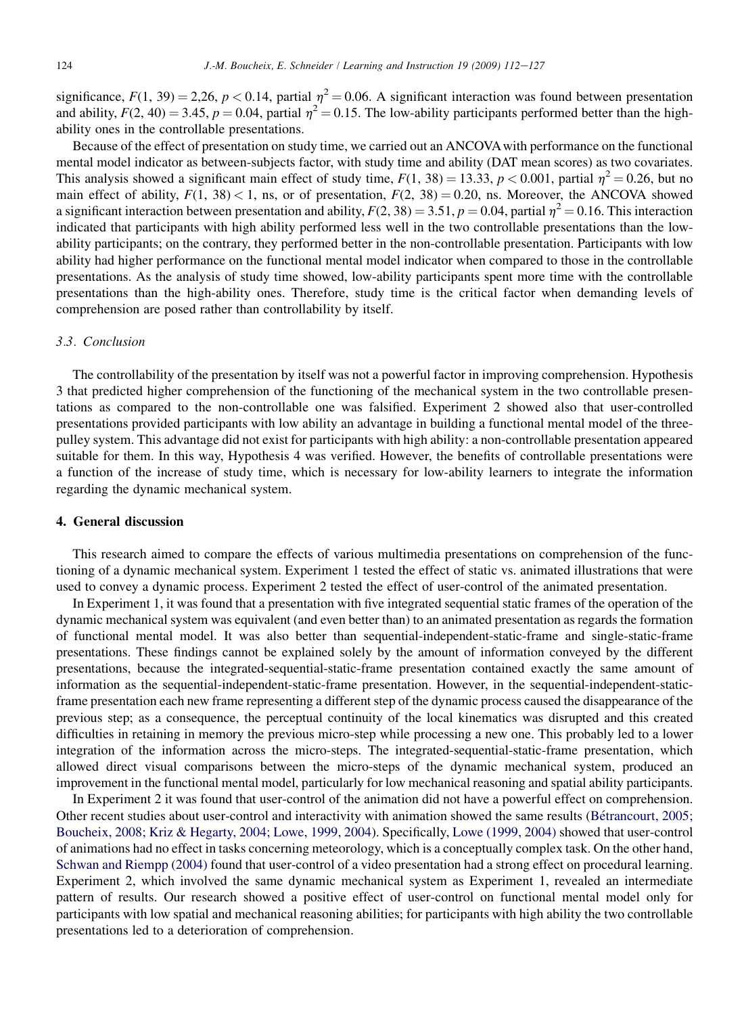significance,  $F(1, 39) = 2,26$ ,  $p < 0.14$ , partial  $\eta^2 = 0.06$ . A significant interaction was found between presentation and ability,  $F(2, 40) = 3.45$ ,  $p = 0.04$ , partial  $\eta^2 = 0.15$ . The low-ability participants performed better than the highability ones in the controllable presentations.

Because of the effect of presentation on study time, we carried out an ANCOVAwith performance on the functional mental model indicator as between-subjects factor, with study time and ability (DAT mean scores) as two covariates. This analysis showed a significant main effect of study time,  $F(1, 38) = 13.33$ ,  $p < 0.001$ , partial  $\eta^2 = 0.26$ , but no main effect of ability,  $F(1, 38) < 1$ , ns, or of presentation,  $F(2, 38) = 0.20$ , ns. Moreover, the ANCOVA showed a significant interaction between presentation and ability,  $F(2, 38) = 3.51$ ,  $p = 0.04$ , partial  $\eta^2 = 0.16$ . This interaction indicated that participants with high ability performed less well in the two controllable presentations than the lowability participants; on the contrary, they performed better in the non-controllable presentation. Participants with low ability had higher performance on the functional mental model indicator when compared to those in the controllable presentations. As the analysis of study time showed, low-ability participants spent more time with the controllable presentations than the high-ability ones. Therefore, study time is the critical factor when demanding levels of comprehension are posed rather than controllability by itself.

# 3.3. Conclusion

The controllability of the presentation by itself was not a powerful factor in improving comprehension. Hypothesis 3 that predicted higher comprehension of the functioning of the mechanical system in the two controllable presentations as compared to the non-controllable one was falsified. Experiment 2 showed also that user-controlled presentations provided participants with low ability an advantage in building a functional mental model of the threepulley system. This advantage did not exist for participants with high ability: a non-controllable presentation appeared suitable for them. In this way, Hypothesis 4 was verified. However, the benefits of controllable presentations were a function of the increase of study time, which is necessary for low-ability learners to integrate the information regarding the dynamic mechanical system.

## 4. General discussion

This research aimed to compare the effects of various multimedia presentations on comprehension of the functioning of a dynamic mechanical system. Experiment 1 tested the effect of static vs. animated illustrations that were used to convey a dynamic process. Experiment 2 tested the effect of user-control of the animated presentation.

In Experiment 1, it was found that a presentation with five integrated sequential static frames of the operation of the dynamic mechanical system was equivalent (and even better than) to an animated presentation as regards the formation of functional mental model. It was also better than sequential-independent-static-frame and single-static-frame presentations. These findings cannot be explained solely by the amount of information conveyed by the different presentations, because the integrated-sequential-static-frame presentation contained exactly the same amount of information as the sequential-independent-static-frame presentation. However, in the sequential-independent-staticframe presentation each new frame representing a different step of the dynamic process caused the disappearance of the previous step; as a consequence, the perceptual continuity of the local kinematics was disrupted and this created difficulties in retaining in memory the previous micro-step while processing a new one. This probably led to a lower integration of the information across the micro-steps. The integrated-sequential-static-frame presentation, which allowed direct visual comparisons between the micro-steps of the dynamic mechanical system, produced an improvement in the functional mental model, particularly for low mechanical reasoning and spatial ability participants.

In Experiment 2 it was found that user-control of the animation did not have a powerful effect on comprehension. Other recent studies about user-control and interactivity with animation showed the same results (Bétrancourt, 2005; [Boucheix, 2008; Kriz & Hegarty, 2004; Lowe, 1999, 2004\)](#page-14-0). Specifically, [Lowe \(1999, 2004\)](#page-15-0) showed that user-control of animations had no effect in tasks concerning meteorology, which is a conceptually complex task. On the other hand, [Schwan and Riempp \(2004\)](#page-15-0) found that user-control of a video presentation had a strong effect on procedural learning. Experiment 2, which involved the same dynamic mechanical system as Experiment 1, revealed an intermediate pattern of results. Our research showed a positive effect of user-control on functional mental model only for participants with low spatial and mechanical reasoning abilities; for participants with high ability the two controllable presentations led to a deterioration of comprehension.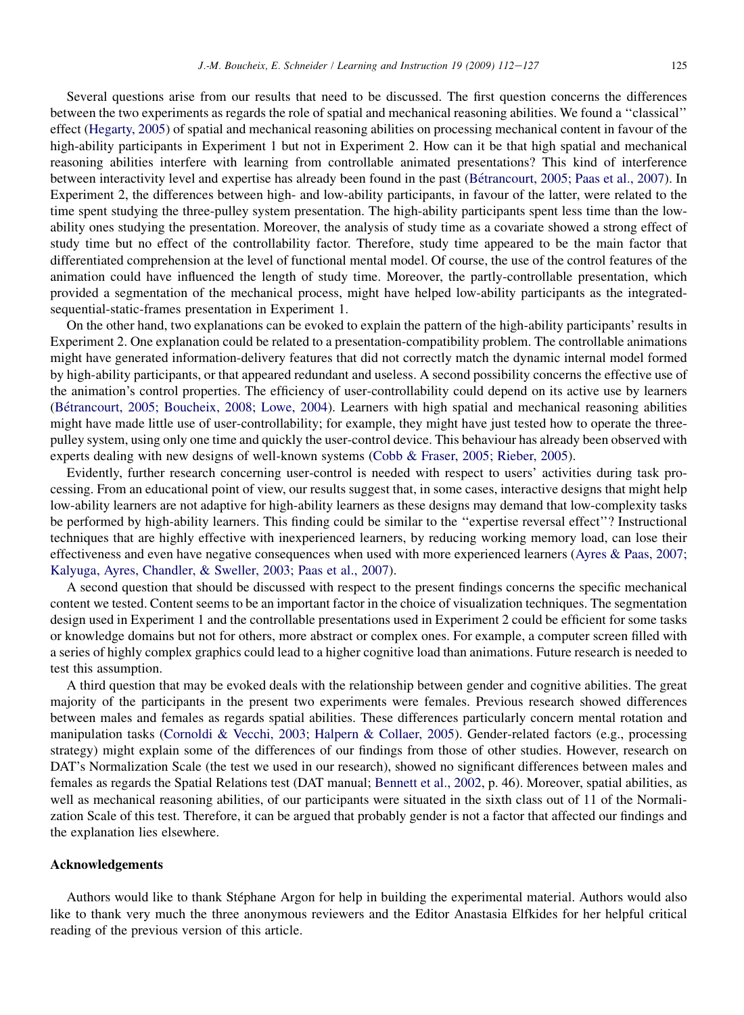Several questions arise from our results that need to be discussed. The first question concerns the differences between the two experiments as regards the role of spatial and mechanical reasoning abilities. We found a ''classical'' effect [\(Hegarty, 2005](#page-14-0)) of spatial and mechanical reasoning abilities on processing mechanical content in favour of the high-ability participants in Experiment 1 but not in Experiment 2. How can it be that high spatial and mechanical reasoning abilities interfere with learning from controllable animated presentations? This kind of interference between interactivity level and expertise has already been found in the past (Bétrancourt, 2005; Paas et al., 2007). In Experiment 2, the differences between high- and low-ability participants, in favour of the latter, were related to the time spent studying the three-pulley system presentation. The high-ability participants spent less time than the lowability ones studying the presentation. Moreover, the analysis of study time as a covariate showed a strong effect of study time but no effect of the controllability factor. Therefore, study time appeared to be the main factor that differentiated comprehension at the level of functional mental model. Of course, the use of the control features of the animation could have influenced the length of study time. Moreover, the partly-controllable presentation, which provided a segmentation of the mechanical process, might have helped low-ability participants as the integratedsequential-static-frames presentation in Experiment 1.

On the other hand, two explanations can be evoked to explain the pattern of the high-ability participants' results in Experiment 2. One explanation could be related to a presentation-compatibility problem. The controllable animations might have generated information-delivery features that did not correctly match the dynamic internal model formed by high-ability participants, or that appeared redundant and useless. A second possibility concerns the effective use of the animation's control properties. The efficiency of user-controllability could depend on its active use by learners (Bétrancourt, 2005; Boucheix, 2008; Lowe, 2004). Learners with high spatial and mechanical reasoning abilities might have made little use of user-controllability; for example, they might have just tested how to operate the threepulley system, using only one time and quickly the user-control device. This behaviour has already been observed with experts dealing with new designs of well-known systems [\(Cobb & Fraser, 2005; Rieber, 2005\)](#page-14-0).

Evidently, further research concerning user-control is needed with respect to users' activities during task processing. From an educational point of view, our results suggest that, in some cases, interactive designs that might help low-ability learners are not adaptive for high-ability learners as these designs may demand that low-complexity tasks be performed by high-ability learners. This finding could be similar to the ''expertise reversal effect''? Instructional techniques that are highly effective with inexperienced learners, by reducing working memory load, can lose their effectiveness and even have negative consequences when used with more experienced learners [\(Ayres & Paas, 2007;](#page-14-0) [Kalyuga, Ayres, Chandler, & Sweller, 2003; Paas et al., 2007\)](#page-14-0).

A second question that should be discussed with respect to the present findings concerns the specific mechanical content we tested. Content seems to be an important factor in the choice of visualization techniques. The segmentation design used in Experiment 1 and the controllable presentations used in Experiment 2 could be efficient for some tasks or knowledge domains but not for others, more abstract or complex ones. For example, a computer screen filled with a series of highly complex graphics could lead to a higher cognitive load than animations. Future research is needed to test this assumption.

A third question that may be evoked deals with the relationship between gender and cognitive abilities. The great majority of the participants in the present two experiments were females. Previous research showed differences between males and females as regards spatial abilities. These differences particularly concern mental rotation and manipulation tasks [\(Cornoldi & Vecchi, 2003; Halpern & Collaer, 2005\)](#page-14-0). Gender-related factors (e.g., processing strategy) might explain some of the differences of our findings from those of other studies. However, research on DAT's Normalization Scale (the test we used in our research), showed no significant differences between males and females as regards the Spatial Relations test (DAT manual; [Bennett et al., 2002](#page-14-0), p. 46). Moreover, spatial abilities, as well as mechanical reasoning abilities, of our participants were situated in the sixth class out of 11 of the Normalization Scale of this test. Therefore, it can be argued that probably gender is not a factor that affected our findings and the explanation lies elsewhere.

#### Acknowledgements

Authors would like to thank Stéphane Argon for help in building the experimental material. Authors would also like to thank very much the three anonymous reviewers and the Editor Anastasia Elfkides for her helpful critical reading of the previous version of this article.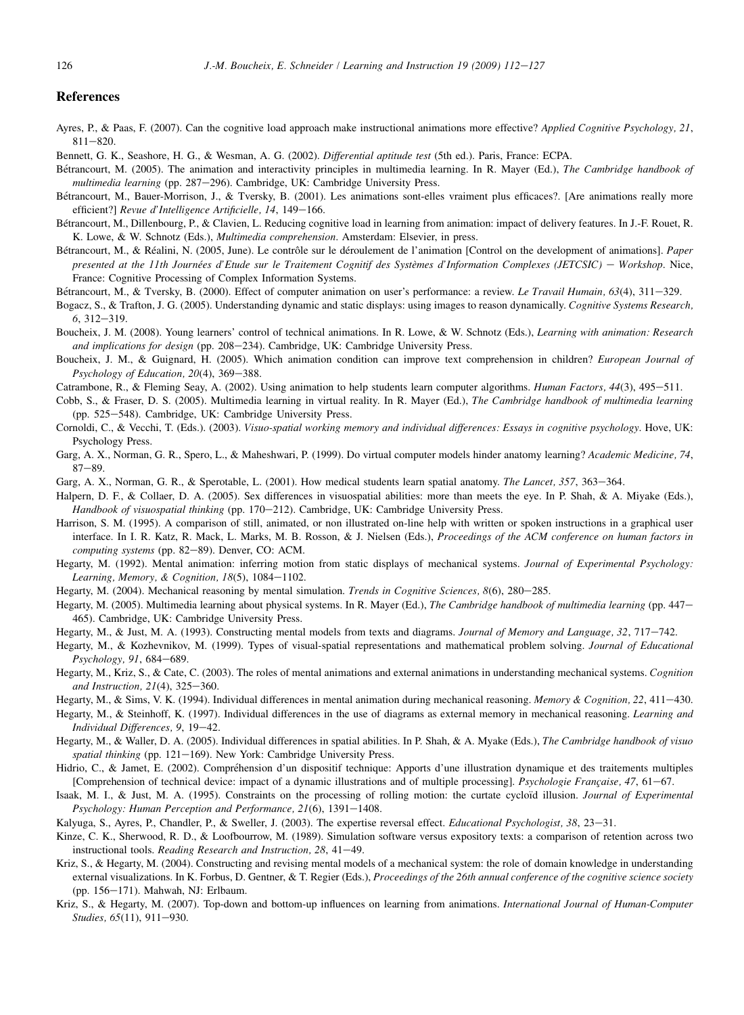## <span id="page-14-0"></span>References

- Ayres, P., & Paas, F. (2007). Can the cognitive load approach make instructional animations more effective? Applied Cognitive Psychology, 21,  $811 - 820.$
- Bennett, G. K., Seashore, H. G., & Wesman, A. G. (2002). Differential aptitude test (5th ed.). Paris, France: ECPA.
- Bétrancourt, M. (2005). The animation and interactivity principles in multimedia learning. In R. Mayer (Ed.), The Cambridge handbook of multimedia learning (pp. 287-296). Cambridge, UK: Cambridge University Press.
- Bétrancourt, M., Bauer-Morrison, J., & Tversky, B. (2001). Les animations sont-elles vraiment plus efficaces?. [Are animations really more efficient?] Revue d'Intelligence Artificielle, 14, 149-166.
- Bétrancourt, M., Dillenbourg, P., & Clavien, L. Reducing cognitive load in learning from animation: impact of delivery features. In J.-F. Rouet, R. K. Lowe, & W. Schnotz (Eds.), Multimedia comprehension. Amsterdam: Elsevier, in press.
- Bétrancourt, M., & Réalini, N. (2005, June). Le contrôle sur le déroulement de l'animation [Control on the development of animations]. Paper presented at the 11th Journées d'Etude sur le Traitement Cognitif des Systèmes d'Information Complexes (JETCSIC) - Workshop. Nice, France: Cognitive Processing of Complex Information Systems.
- Bétrancourt, M., & Tversky, B. (2000). Effect of computer animation on user's performance: a review. Le Travail Humain, 63(4), 311-329.
- Bogacz, S., & Trafton, J. G. (2005). Understanding dynamic and static displays: using images to reason dynamically. Cognitive Systems Research,  $6, 312 - 319.$
- Boucheix, J. M. (2008). Young learners' control of technical animations. In R. Lowe, & W. Schnotz (Eds.), Learning with animation: Research and implications for design (pp. 208-234). Cambridge, UK: Cambridge University Press.
- Boucheix, J. M., & Guignard, H. (2005). Which animation condition can improve text comprehension in children? European Journal of Psychology of Education,  $20(4)$ ,  $369-388$ .
- Catrambone, R., & Fleming Seay, A. (2002). Using animation to help students learn computer algorithms. Human Factors, 44(3), 495-511.
- Cobb, S., & Fraser, D. S. (2005). Multimedia learning in virtual reality. In R. Mayer (Ed.), The Cambridge handbook of multimedia learning (pp. 525-548). Cambridge, UK: Cambridge University Press.
- Cornoldi, C., & Vecchi, T. (Eds.). (2003). Visuo-spatial working memory and individual differences: Essays in cognitive psychology. Hove, UK: Psychology Press.
- Garg, A. X., Norman, G. R., Spero, L., & Maheshwari, P. (1999). Do virtual computer models hinder anatomy learning? Academic Medicine, 74,  $87 - 89.$
- Garg, A. X., Norman, G. R., & Sperotable, L. (2001). How medical students learn spatial anatomy. The Lancet, 357, 363-364.
- Halpern, D. F., & Collaer, D. A. (2005). Sex differences in visuospatial abilities: more than meets the eye. In P. Shah, & A. Miyake (Eds.), Handbook of visuospatial thinking (pp. 170–212). Cambridge, UK: Cambridge University Press.
- Harrison, S. M. (1995). A comparison of still, animated, or non illustrated on-line help with written or spoken instructions in a graphical user interface. In I. R. Katz, R. Mack, L. Marks, M. B. Rosson, & J. Nielsen (Eds.), Proceedings of the ACM conference on human factors in computing systems (pp. 82-89). Denver, CO: ACM.
- Hegarty, M. (1992). Mental animation: inferring motion from static displays of mechanical systems. Journal of Experimental Psychology: Learning, Memory, & Cognition,  $18(5)$ ,  $1084-1102$ .
- Hegarty, M. (2004). Mechanical reasoning by mental simulation. Trends in Cognitive Sciences, 8(6), 280-285.
- Hegarty, M. (2005). Multimedia learning about physical systems. In R. Mayer (Ed.), The Cambridge handbook of multimedia learning (pp. 447-465). Cambridge, UK: Cambridge University Press.
- Hegarty, M., & Just, M. A. (1993). Constructing mental models from texts and diagrams. Journal of Memory and Language, 32, 717–742.
- Hegarty, M., & Kozhevnikov, M. (1999). Types of visual-spatial representations and mathematical problem solving. Journal of Educational  $Psychology, 91, 684–689.$
- Hegarty, M., Kriz, S., & Cate, C. (2003). The roles of mental animations and external animations in understanding mechanical systems. Cognition and Instruction,  $21(4)$ ,  $325-360$ .
- Hegarty, M., & Sims, V. K. (1994). Individual differences in mental animation during mechanical reasoning. Memory & Cognition, 22, 411-430.
- Hegarty, M., & Steinhoff, K. (1997). Individual differences in the use of diagrams as external memory in mechanical reasoning. Learning and Individual Differences, 9, 19-42.
- Hegarty, M., & Waller, D. A. (2005). Individual differences in spatial abilities. In P. Shah, & A. Myake (Eds.), The Cambridge handbook of visuo spatial thinking (pp.  $121-169$ ). New York: Cambridge University Press.
- Hidrio, C., & Jamet, E. (2002). Compréhension d'un dispositif technique: Apports d'une illustration dynamique et des traitements multiples [Comprehension of technical device: impact of a dynamic illustrations and of multiple processing]. Psychologie Française, 47, 61–67.
- Isaak, M. I., & Just, M. A. (1995). Constraints on the processing of rolling motion: the curtate cycloïd illusion. Journal of Experimental Psychology: Human Perception and Performance, 21(6), 1391-1408.
- Kalyuga, S., Ayres, P., Chandler, P., & Sweller, J. (2003). The expertise reversal effect. Educational Psychologist, 38, 23-31.
- Kinze, C. K., Sherwood, R. D., & Loofbourrow, M. (1989). Simulation software versus expository texts: a comparison of retention across two instructional tools. Reading Research and Instruction,  $28$ ,  $41-49$ .
- Kriz, S., & Hegarty, M. (2004). Constructing and revising mental models of a mechanical system: the role of domain knowledge in understanding external visualizations. In K. Forbus, D. Gentner, & T. Regier (Eds.), Proceedings of the 26th annual conference of the cognitive science society  $(pp. 156-171)$ . Mahwah, NJ: Erlbaum.
- Kriz, S., & Hegarty, M. (2007). Top-down and bottom-up influences on learning from animations. International Journal of Human-Computer Studies, 65(11), 911-930.